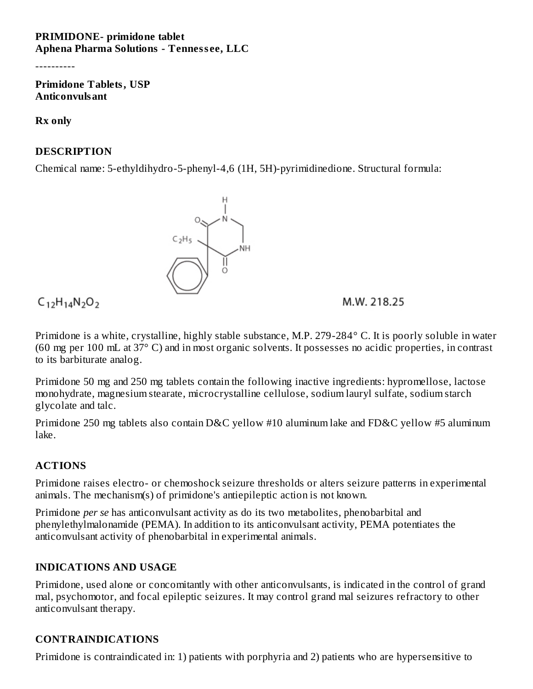#### **PRIMIDONE- primidone tablet Aphena Pharma Solutions - Tenness ee, LLC**

----------

**Primidone Tablets, USP Anticonvulsant**

**Rx only**

#### **DESCRIPTION**

Chemical name: 5-ethyldihydro-5-phenyl-4,6 (1H, 5H)-pyrimidinedione. Structural formula:



 $C_{12}H_{14}N_{2}O_{2}$ 

M.W. 218.25

Primidone is a white, crystalline, highly stable substance, M.P. 279-284° C. It is poorly soluble in water (60 mg per 100 mL at 37° C) and in most organic solvents. It possesses no acidic properties, in contrast to its barbiturate analog.

Primidone 50 mg and 250 mg tablets contain the following inactive ingredients: hypromellose, lactose monohydrate, magnesium stearate, microcrystalline cellulose, sodium lauryl sulfate, sodium starch glycolate and talc.

Primidone 250 mg tablets also contain D&C yellow #10 aluminum lake and FD&C yellow #5 aluminum lake.

#### **ACTIONS**

Primidone raises electro- or chemoshock seizure thresholds or alters seizure patterns in experimental animals. The mechanism(s) of primidone's antiepileptic action is not known.

Primidone *per se* has anticonvulsant activity as do its two metabolites, phenobarbital and phenylethylmalonamide (PEMA). In addition to its anticonvulsant activity, PEMA potentiates the anticonvulsant activity of phenobarbital in experimental animals.

## **INDICATIONS AND USAGE**

Primidone, used alone or concomitantly with other anticonvulsants, is indicated in the control of grand mal, psychomotor, and focal epileptic seizures. It may control grand mal seizures refractory to other anticonvulsant therapy.

## **CONTRAINDICATIONS**

Primidone is contraindicated in: 1) patients with porphyria and 2) patients who are hypersensitive to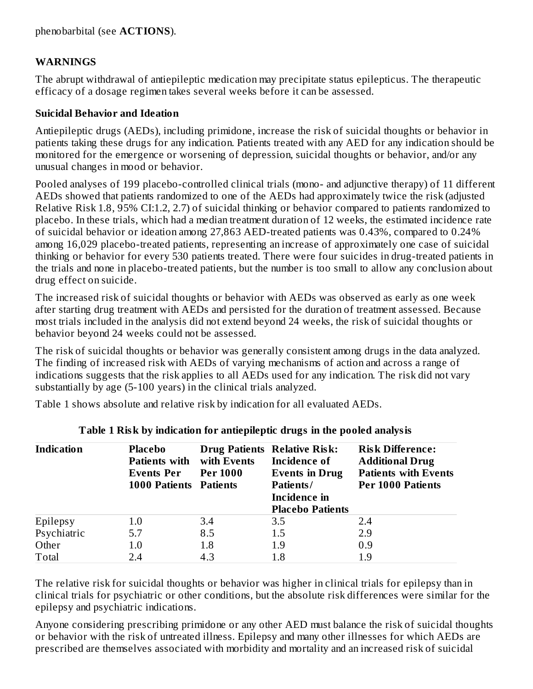phenobarbital (see **ACTIONS**).

#### **WARNINGS**

The abrupt withdrawal of antiepileptic medication may precipitate status epilepticus. The therapeutic efficacy of a dosage regimen takes several weeks before it can be assessed.

#### **Suicidal Behavior and Ideation**

Antiepileptic drugs (AEDs), including primidone, increase the risk of suicidal thoughts or behavior in patients taking these drugs for any indication. Patients treated with any AED for any indication should be monitored for the emergence or worsening of depression, suicidal thoughts or behavior, and/or any unusual changes in mood or behavior.

Pooled analyses of 199 placebo-controlled clinical trials (mono- and adjunctive therapy) of 11 different AEDs showed that patients randomized to one of the AEDs had approximately twice the risk (adjusted Relative Risk 1.8, 95% CI:1.2, 2.7) of suicidal thinking or behavior compared to patients randomized to placebo. In these trials, which had a median treatment duration of 12 weeks, the estimated incidence rate of suicidal behavior or ideation among 27,863 AED-treated patients was 0.43%, compared to 0.24% among 16,029 placebo-treated patients, representing an increase of approximately one case of suicidal thinking or behavior for every 530 patients treated. There were four suicides in drug-treated patients in the trials and none in placebo-treated patients, but the number is too small to allow any conclusion about drug effect on suicide.

The increased risk of suicidal thoughts or behavior with AEDs was observed as early as one week after starting drug treatment with AEDs and persisted for the duration of treatment assessed. Because most trials included in the analysis did not extend beyond 24 weeks, the risk of suicidal thoughts or behavior beyond 24 weeks could not be assessed.

The risk of suicidal thoughts or behavior was generally consistent among drugs in the data analyzed. The finding of increased risk with AEDs of varying mechanisms of action and across a range of indications suggests that the risk applies to all AEDs used for any indication. The risk did not vary substantially by age (5-100 years) in the clinical trials analyzed.

Table 1 shows absolute and relative risk by indication for all evaluated AEDs.

| <b>Indication</b> | Placebo<br><b>Patients with with Events</b> |                 | <b>Drug Patients Relative Risk:</b><br>Incidence of | <b>Risk Difference:</b><br><b>Additional Drug</b> |  |
|-------------------|---------------------------------------------|-----------------|-----------------------------------------------------|---------------------------------------------------|--|
|                   | <b>Events Per</b>                           | <b>Per 1000</b> | <b>Events in Drug</b>                               | <b>Patients with Events</b>                       |  |
|                   | <b>1000 Patients Patients</b>               |                 | Patients/                                           | <b>Per 1000 Patients</b>                          |  |
|                   |                                             |                 | Incidence in                                        |                                                   |  |
|                   |                                             |                 | <b>Placebo Patients</b>                             |                                                   |  |
| Epilepsy          | $1.0\,$                                     | 3.4             | 3.5                                                 | 2.4                                               |  |
| Psychiatric       | 5.7                                         | 8.5             | 1.5                                                 | 2.9                                               |  |
| Other             | 1.0                                         | 1.8             | 1.9                                                 | 0.9                                               |  |
| Total             | 2.4                                         | 4.3             | 1.8                                                 | 1.9                                               |  |

#### **Table 1 Risk by indication for antiepileptic drugs in the pooled analysis**

The relative risk for suicidal thoughts or behavior was higher in clinical trials for epilepsy than in clinical trials for psychiatric or other conditions, but the absolute risk differences were similar for the epilepsy and psychiatric indications.

Anyone considering prescribing primidone or any other AED must balance the risk of suicidal thoughts or behavior with the risk of untreated illness. Epilepsy and many other illnesses for which AEDs are prescribed are themselves associated with morbidity and mortality and an increased risk of suicidal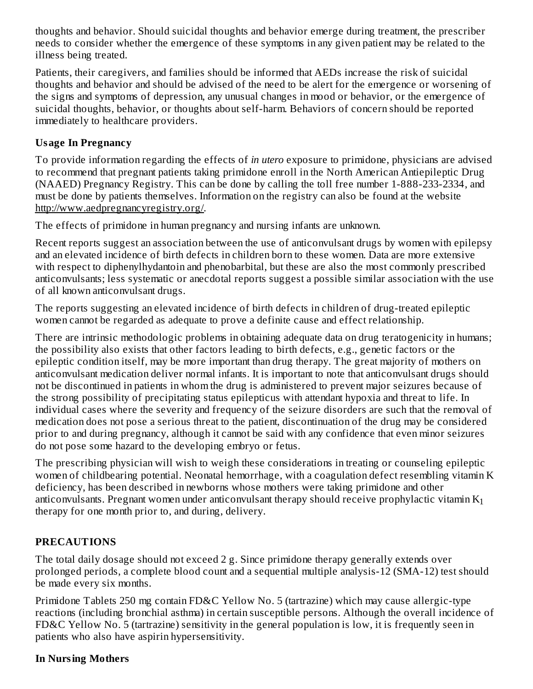thoughts and behavior. Should suicidal thoughts and behavior emerge during treatment, the prescriber needs to consider whether the emergence of these symptoms in any given patient may be related to the illness being treated.

Patients, their caregivers, and families should be informed that AEDs increase the risk of suicidal thoughts and behavior and should be advised of the need to be alert for the emergence or worsening of the signs and symptoms of depression, any unusual changes in mood or behavior, or the emergence of suicidal thoughts, behavior, or thoughts about self-harm. Behaviors of concern should be reported immediately to healthcare providers.

#### **Usage In Pregnancy**

To provide information regarding the effects of *in utero* exposure to primidone, physicians are advised to recommend that pregnant patients taking primidone enroll in the North American Antiepileptic Drug (NAAED) Pregnancy Registry. This can be done by calling the toll free number 1-888-233-2334, and must be done by patients themselves. Information on the registry can also be found at the website http://www.aedpregnancyregistry.org/.

The effects of primidone in human pregnancy and nursing infants are unknown.

Recent reports suggest an association between the use of anticonvulsant drugs by women with epilepsy and an elevated incidence of birth defects in children born to these women. Data are more extensive with respect to diphenylhydantoin and phenobarbital, but these are also the most commonly prescribed anticonvulsants; less systematic or anecdotal reports suggest a possible similar association with the use of all known anticonvulsant drugs.

The reports suggesting an elevated incidence of birth defects in children of drug-treated epileptic women cannot be regarded as adequate to prove a definite cause and effect relationship.

There are intrinsic methodologic problems in obtaining adequate data on drug teratogenicity in humans; the possibility also exists that other factors leading to birth defects, e.g., genetic factors or the epileptic condition itself, may be more important than drug therapy. The great majority of mothers on anticonvulsant medication deliver normal infants. It is important to note that anticonvulsant drugs should not be discontinued in patients in whom the drug is administered to prevent major seizures because of the strong possibility of precipitating status epilepticus with attendant hypoxia and threat to life. In individual cases where the severity and frequency of the seizure disorders are such that the removal of medication does not pose a serious threat to the patient, discontinuation of the drug may be considered prior to and during pregnancy, although it cannot be said with any confidence that even minor seizures do not pose some hazard to the developing embryo or fetus.

The prescribing physician will wish to weigh these considerations in treating or counseling epileptic women of childbearing potential. Neonatal hemorrhage, with a coagulation defect resembling vitamin K deficiency, has been described in newborns whose mothers were taking primidone and other anticonvulsants. Pregnant women under anticonvulsant therapy should receive prophylactic vitamin  $\mathrm{K}_1$ therapy for one month prior to, and during, delivery.

#### **PRECAUTIONS**

The total daily dosage should not exceed 2 g. Since primidone therapy generally extends over prolonged periods, a complete blood count and a sequential multiple analysis-12 (SMA-12) test should be made every six months.

Primidone Tablets 250 mg contain FD&C Yellow No. 5 (tartrazine) which may cause allergic-type reactions (including bronchial asthma) in certain susceptible persons. Although the overall incidence of FD&C Yellow No. 5 (tartrazine) sensitivity in the general population is low, it is frequently seen in patients who also have aspirin hypersensitivity.

#### **In Nursing Mothers**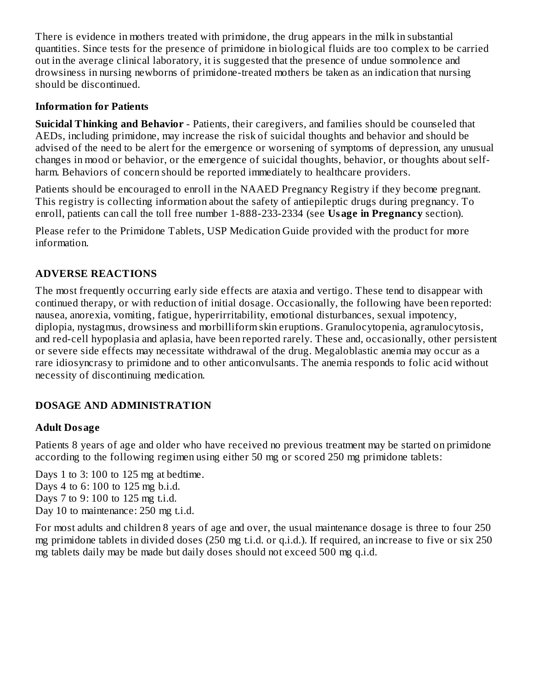There is evidence in mothers treated with primidone, the drug appears in the milk in substantial quantities. Since tests for the presence of primidone in biological fluids are too complex to be carried out in the average clinical laboratory, it is suggested that the presence of undue somnolence and drowsiness in nursing newborns of primidone-treated mothers be taken as an indication that nursing should be discontinued.

#### **Information for Patients**

**Suicidal Thinking and Behavior** - Patients, their caregivers, and families should be counseled that AEDs, including primidone, may increase the risk of suicidal thoughts and behavior and should be advised of the need to be alert for the emergence or worsening of symptoms of depression, any unusual changes in mood or behavior, or the emergence of suicidal thoughts, behavior, or thoughts about selfharm. Behaviors of concern should be reported immediately to healthcare providers.

Patients should be encouraged to enroll in the NAAED Pregnancy Registry if they become pregnant. This registry is collecting information about the safety of antiepileptic drugs during pregnancy. To enroll, patients can call the toll free number 1-888-233-2334 (see **Usage in Pregnancy** section).

Please refer to the Primidone Tablets, USP Medication Guide provided with the product for more information.

#### **ADVERSE REACTIONS**

The most frequently occurring early side effects are ataxia and vertigo. These tend to disappear with continued therapy, or with reduction of initial dosage. Occasionally, the following have been reported: nausea, anorexia, vomiting, fatigue, hyperirritability, emotional disturbances, sexual impotency, diplopia, nystagmus, drowsiness and morbilliform skin eruptions. Granulocytopenia, agranulocytosis, and red-cell hypoplasia and aplasia, have been reported rarely. These and, occasionally, other persistent or severe side effects may necessitate withdrawal of the drug. Megaloblastic anemia may occur as a rare idiosyncrasy to primidone and to other anticonvulsants. The anemia responds to folic acid without necessity of discontinuing medication.

#### **DOSAGE AND ADMINISTRATION**

#### **Adult Dosage**

Patients 8 years of age and older who have received no previous treatment may be started on primidone according to the following regimen using either 50 mg or scored 250 mg primidone tablets:

Days 1 to 3: 100 to 125 mg at bedtime. Days 4 to 6: 100 to 125 mg b.i.d. Days 7 to 9: 100 to 125 mg t.i.d. Day 10 to maintenance: 250 mg t.i.d.

For most adults and children 8 years of age and over, the usual maintenance dosage is three to four 250 mg primidone tablets in divided doses (250 mg t.i.d. or q.i.d.). If required, an increase to five or six 250 mg tablets daily may be made but daily doses should not exceed 500 mg q.i.d.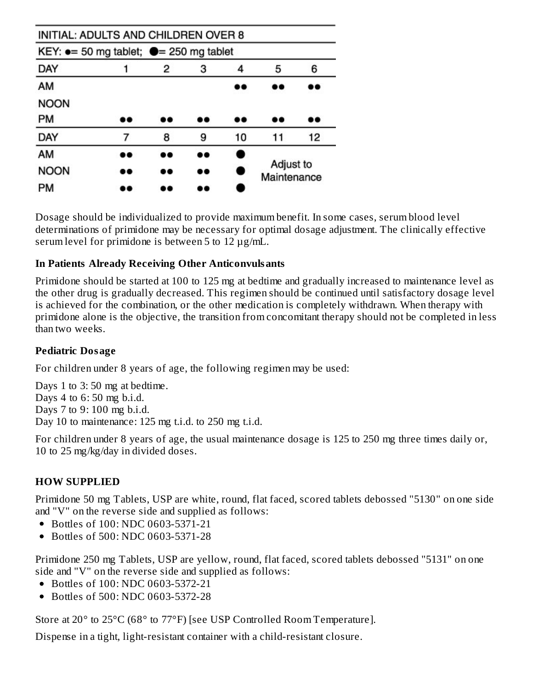| INITIAL: ADULTS AND CHILDREN OVER 8                      |    |     |    |    |                          |    |
|----------------------------------------------------------|----|-----|----|----|--------------------------|----|
| KEY: $\bullet$ = 50 mg tablet; $\bullet$ = 250 mg tablet |    |     |    |    |                          |    |
| DAY                                                      |    | 2   | з  | 4  | 5                        | 6  |
| AM                                                       |    |     |    |    | ه د                      |    |
| <b>NOON</b>                                              |    |     |    |    |                          |    |
| PM                                                       | 88 | 88  |    | 88 |                          | D۰ |
| DAY                                                      | 7  | 8   | 9  | 10 | 11                       | 12 |
| AM                                                       | D٥ |     | 88 |    |                          |    |
| <b>NOON</b>                                              | æ  | ه د | 88 | e  | Adjust to<br>Maintenance |    |
| PM                                                       |    |     |    |    |                          |    |

Dosage should be individualized to provide maximum benefit. In some cases, serum blood level determinations of primidone may be necessary for optimal dosage adjustment. The clinically effective serum level for primidone is between 5 to 12 µg/mL.

#### **In Patients Already Receiving Other Anticonvulsants**

Primidone should be started at 100 to 125 mg at bedtime and gradually increased to maintenance level as the other drug is gradually decreased. This regimen should be continued until satisfactory dosage level is achieved for the combination, or the other medication is completely withdrawn. When therapy with primidone alone is the objective, the transition from concomitant therapy should not be completed in less than two weeks.

#### **Pediatric Dosage**

For children under 8 years of age, the following regimen may be used:

Days 1 to 3:50 mg at bedtime. Days 4 to 6: 50 mg b.i.d. Days 7 to 9: 100 mg b.i.d. Day 10 to maintenance: 125 mg t.i.d. to 250 mg t.i.d.

For children under 8 years of age, the usual maintenance dosage is 125 to 250 mg three times daily or, 10 to 25 mg/kg/day in divided doses.

#### **HOW SUPPLIED**

Primidone 50 mg Tablets, USP are white, round, flat faced, scored tablets debossed "5130" on one side and "V" on the reverse side and supplied as follows:

- Bottles of 100: NDC 0603-5371-21
- Bottles of 500: NDC 0603-5371-28

Primidone 250 mg Tablets, USP are yellow, round, flat faced, scored tablets debossed "5131" on one side and "V" on the reverse side and supplied as follows:

- Bottles of 100: NDC 0603-5372-21
- Bottles of 500: NDC 0603-5372-28

Store at 20° to 25°C (68° to 77°F) [see USP Controlled Room Temperature].

Dispense in a tight, light-resistant container with a child-resistant closure.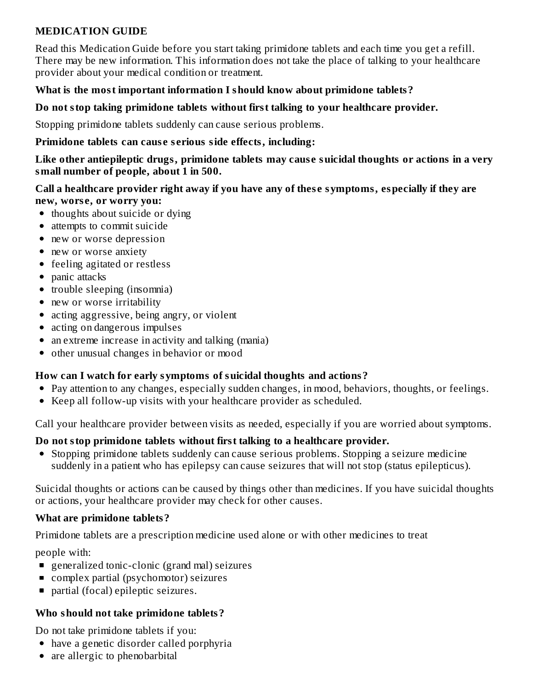## **MEDICATION GUIDE**

Read this Medication Guide before you start taking primidone tablets and each time you get a refill. There may be new information. This information does not take the place of talking to your healthcare provider about your medical condition or treatment.

#### **What is the most important information I should know about primidone tablets?**

#### **Do not stop taking primidone tablets without first talking to your healthcare provider.**

Stopping primidone tablets suddenly can cause serious problems.

#### **Primidone tablets can caus e s erious side effects, including:**

**Like other antiepileptic drugs, primidone tablets may caus e suicidal thoughts or actions in a very small number of people, about 1 in 500.**

#### **Call a healthcare provider right away if you have any of thes e symptoms, especially if they are new, wors e, or worry you:**

- thoughts about suicide or dying
- attempts to commit suicide
- new or worse depression
- new or worse anxiety
- feeling agitated or restless
- panic attacks
- trouble sleeping (insomnia)
- new or worse irritability
- acting aggressive, being angry, or violent
- acting on dangerous impulses
- an extreme increase in activity and talking (mania)
- other unusual changes in behavior or mood  $\bullet$

## **How can I watch for early symptoms of suicidal thoughts and actions?**

- Pay attention to any changes, especially sudden changes, in mood, behaviors, thoughts, or feelings.
- Keep all follow-up visits with your healthcare provider as scheduled.

Call your healthcare provider between visits as needed, especially if you are worried about symptoms.

## **Do not stop primidone tablets without first talking to a healthcare provider.**

Stopping primidone tablets suddenly can cause serious problems. Stopping a seizure medicine suddenly in a patient who has epilepsy can cause seizures that will not stop (status epilepticus).

Suicidal thoughts or actions can be caused by things other than medicines. If you have suicidal thoughts or actions, your healthcare provider may check for other causes.

## **What are primidone tablets?**

Primidone tablets are a prescription medicine used alone or with other medicines to treat

people with:

- generalized tonic-clonic (grand mal) seizures
- complex partial (psychomotor) seizures  $\blacksquare$
- partial (focal) epileptic seizures.  $\blacksquare$

## **Who should not take primidone tablets?**

Do not take primidone tablets if you:

- have a genetic disorder called porphyria
- are allergic to phenobarbital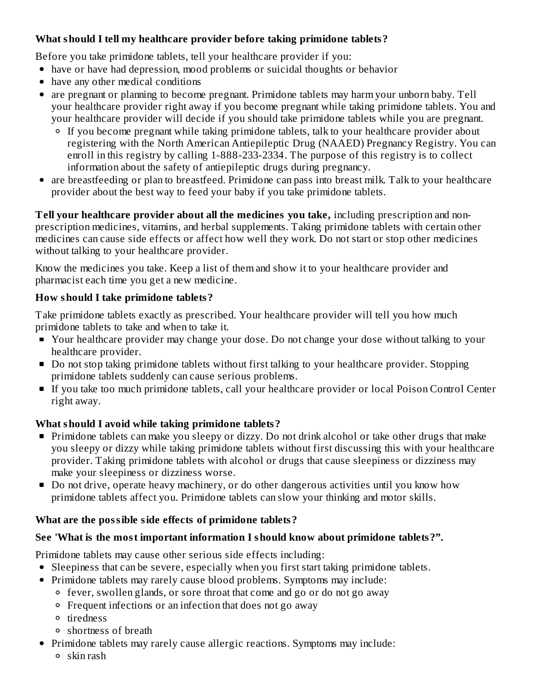## **What should I tell my healthcare provider before taking primidone tablets?**

Before you take primidone tablets, tell your healthcare provider if you:

- have or have had depression, mood problems or suicidal thoughts or behavior
- have any other medical conditions
- are pregnant or planning to become pregnant. Primidone tablets may harm your unborn baby. Tell your healthcare provider right away if you become pregnant while taking primidone tablets. You and your healthcare provider will decide if you should take primidone tablets while you are pregnant.
	- <sup>o</sup> If you become pregnant while taking primidone tablets, talk to your healthcare provider about registering with the North American Antiepileptic Drug (NAAED) Pregnancy Registry. You can enroll in this registry by calling 1-888-233-2334. The purpose of this registry is to collect information about the safety of antiepileptic drugs during pregnancy.
- are breastfeeding or plan to breastfeed. Primidone can pass into breast milk. Talk to your healthcare provider about the best way to feed your baby if you take primidone tablets.

**Tell your healthcare provider about all the medicines you take,** including prescription and nonprescription medicines, vitamins, and herbal supplements. Taking primidone tablets with certain other medicines can cause side effects or affect how well they work. Do not start or stop other medicines without talking to your healthcare provider.

Know the medicines you take. Keep a list of them and show it to your healthcare provider and pharmacist each time you get a new medicine.

## **How should I take primidone tablets?**

Take primidone tablets exactly as prescribed. Your healthcare provider will tell you how much primidone tablets to take and when to take it.

- Your healthcare provider may change your dose. Do not change your dose without talking to your healthcare provider.
- Do not stop taking primidone tablets without first talking to your healthcare provider. Stopping primidone tablets suddenly can cause serious problems.
- If you take too much primidone tablets, call your healthcare provider or local Poison Control Center right away.

# **What should I avoid while taking primidone tablets?**

- **Primidone tablets can make you sleepy or dizzy. Do not drink alcohol or take other drugs that make** you sleepy or dizzy while taking primidone tablets without first discussing this with your healthcare provider. Taking primidone tablets with alcohol or drugs that cause sleepiness or dizziness may make your sleepiness or dizziness worse.
- Do not drive, operate heavy machinery, or do other dangerous activities until you know how primidone tablets affect you. Primidone tablets can slow your thinking and motor skills.

# **What are the possible side effects of primidone tablets?**

## **See 'What is the most important information I should know about primidone tablets?".**

Primidone tablets may cause other serious side effects including:

- Sleepiness that can be severe, especially when you first start taking primidone tablets.
- Primidone tablets may rarely cause blood problems. Symptoms may include:
	- fever, swollen glands, or sore throat that come and go or do not go away
	- Frequent infections or an infection that does not go away
	- o tiredness
	- shortness of breath
- Primidone tablets may rarely cause allergic reactions. Symptoms may include:
	- $\circ$  skin rash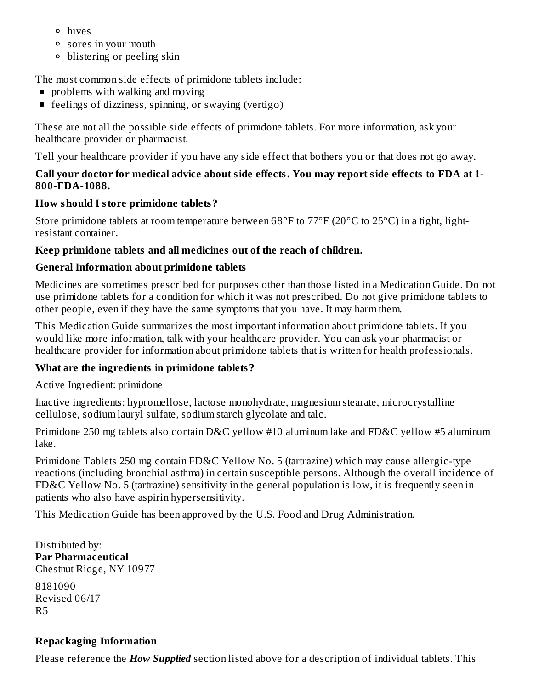- hives
- sores in your mouth
- blistering or peeling skin

The most common side effects of primidone tablets include:

- **problems with walking and moving**
- **Figure 1** feelings of dizziness, spinning, or swaying (vertigo)

These are not all the possible side effects of primidone tablets. For more information, ask your healthcare provider or pharmacist.

Tell your healthcare provider if you have any side effect that bothers you or that does not go away.

#### **Call your doctor for medical advice about side effects. You may report side effects to FDA at 1- 800-FDA-1088.**

## **How should I store primidone tablets?**

Store primidone tablets at room temperature between 68°F to 77°F (20°C to 25°C) in a tight, lightresistant container.

## **Keep primidone tablets and all medicines out of the reach of children.**

## **General Information about primidone tablets**

Medicines are sometimes prescribed for purposes other than those listed in a Medication Guide. Do not use primidone tablets for a condition for which it was not prescribed. Do not give primidone tablets to other people, even if they have the same symptoms that you have. It may harm them.

This Medication Guide summarizes the most important information about primidone tablets. If you would like more information, talk with your healthcare provider. You can ask your pharmacist or healthcare provider for information about primidone tablets that is written for health professionals.

# **What are the ingredients in primidone tablets?**

Active Ingredient: primidone

Inactive ingredients: hypromellose, lactose monohydrate, magnesium stearate, microcrystalline cellulose, sodium lauryl sulfate, sodium starch glycolate and talc.

Primidone 250 mg tablets also contain D&C yellow #10 aluminum lake and FD&C yellow #5 aluminum lake.

Primidone Tablets 250 mg contain FD&C Yellow No. 5 (tartrazine) which may cause allergic-type reactions (including bronchial asthma) in certain susceptible persons. Although the overall incidence of FD&C Yellow No. 5 (tartrazine) sensitivity in the general population is low, it is frequently seen in patients who also have aspirin hypersensitivity.

This Medication Guide has been approved by the U.S. Food and Drug Administration.

Distributed by: **Par Pharmaceutical** Chestnut Ridge, NY 10977 8181090 Revised 06/17 R5

# **Repackaging Information**

Please reference the *How Supplied* section listed above for a description of individual tablets. This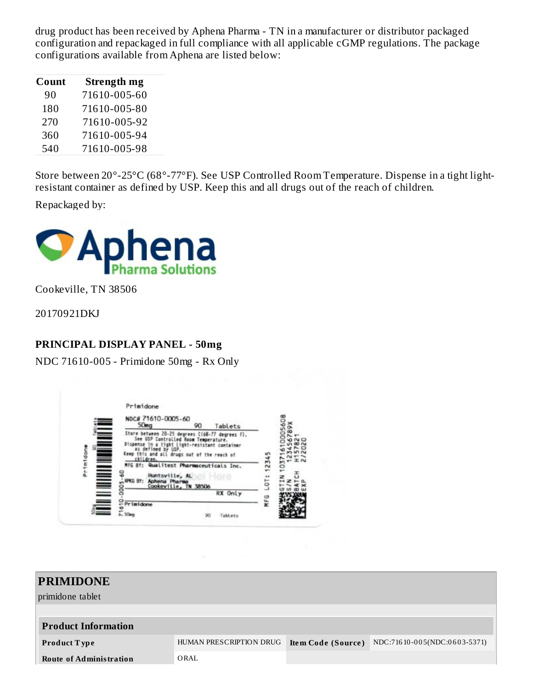drug product has been received by Aphena Pharma - TN in a manufacturer or distributor packaged configuration and repackaged in full compliance with all applicable cGMP regulations. The package configurations available from Aphena are listed below:

| Count | Strength mg  |
|-------|--------------|
| 90    | 71610-005-60 |
| 180   | 71610-005-80 |
| 270   | 71610-005-92 |
| 360   | 71610-005-94 |
| 540   | 71610-005-98 |

Store between 20°-25°C (68°-77°F). See USP Controlled Room Temperature. Dispense in a tight lightresistant container as defined by USP. Keep this and all drugs out of the reach of children.

Repackaged by:



Cookeville, TN 38506

20170921DKJ

#### **PRINCIPAL DISPLAY PANEL - 50mg**

NDC 71610-005 - Primidone 50mg - Rx Only

|                                           | NDC# 71610-0005-60<br>50 <sub>ma</sub>                                                                                                                                                                                    |                                                                                                                                       |               |
|-------------------------------------------|---------------------------------------------------------------------------------------------------------------------------------------------------------------------------------------------------------------------------|---------------------------------------------------------------------------------------------------------------------------------------|---------------|
| ਵ<br><b>THE REAL PROPERTY</b><br>Primidon | See USP Controlled Room Temperature.<br>Dispense<br>as defined by USP.<br>Keep this and all drugs out of the reach of<br>children.<br>MFG BY:<br>Huntsville, AL<br>RPKG BY:<br>Aphena Pharma<br>Cookeville, TN 38506<br>8 | Tablets<br>90<br>Store between 20-25 degrees C(68-77 degrees F).<br>tight Light-resistant container<br>Qualitest Pharmaceuticals Inc. | 1234<br><br>5 |
| ≣                                         | $\frac{1}{5}$ Primidone                                                                                                                                                                                                   | RX Only                                                                                                                               | MFG           |

| <b>PRIMIDONE</b><br>primidone tablet |                         |                    |                              |
|--------------------------------------|-------------------------|--------------------|------------------------------|
| <b>Product Information</b>           |                         |                    |                              |
| <b>Product Type</b>                  | HUMAN PRESCRIPTION DRUG | Item Code (Source) | NDC:71610-005(NDC:0603-5371) |
| <b>Route of Administration</b>       | ORAL                    |                    |                              |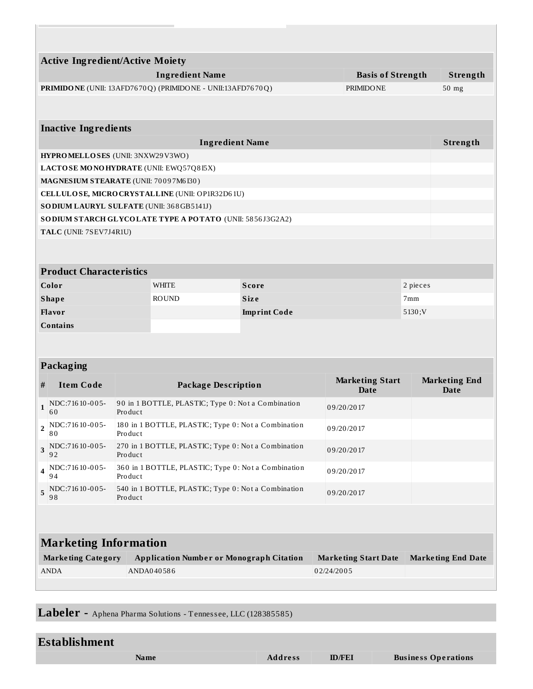|                                                                                | <b>Active Ingredient/Active Moiety</b>             |                                                                  |                                                          |              |            |                             |          |                           |
|--------------------------------------------------------------------------------|----------------------------------------------------|------------------------------------------------------------------|----------------------------------------------------------|--------------|------------|-----------------------------|----------|---------------------------|
|                                                                                | <b>Ingredient Name</b><br><b>Basis of Strength</b> |                                                                  |                                                          |              |            |                             | Strength |                           |
| PRIMIDONE (UNII: 13AFD7670Q) (PRIMIDONE - UNII:13AFD7670Q)<br><b>PRIMIDONE</b> |                                                    |                                                                  |                                                          |              | 50 mg      |                             |          |                           |
|                                                                                |                                                    |                                                                  |                                                          |              |            |                             |          |                           |
|                                                                                |                                                    |                                                                  |                                                          |              |            |                             |          |                           |
|                                                                                | <b>Inactive Ingredients</b>                        |                                                                  |                                                          |              |            |                             |          |                           |
|                                                                                |                                                    |                                                                  | <b>Ingredient Name</b>                                   |              |            |                             |          | Strength                  |
|                                                                                | HYPROMELLOSES (UNII: 3NXW29V3WO)                   |                                                                  |                                                          |              |            |                             |          |                           |
|                                                                                |                                                    |                                                                  | LACTOSE MONOHYDRATE (UNII: EWQ57Q8I5X)                   |              |            |                             |          |                           |
|                                                                                | MAGNESIUM STEARATE (UNII: 70097M6I30)              |                                                                  |                                                          |              |            |                             |          |                           |
|                                                                                |                                                    |                                                                  | CELLULOSE, MICRO CRYSTALLINE (UNII: OP1R32D61U)          |              |            |                             |          |                           |
|                                                                                | SODIUM LAURYL SULFATE (UNII: 368GB5141J)           |                                                                  | SODIUM STARCH GLYCOLATE TYPE A POTATO (UNII: 5856J3G2A2) |              |            |                             |          |                           |
|                                                                                | TALC (UNII: 7SEV7J4R1U)                            |                                                                  |                                                          |              |            |                             |          |                           |
|                                                                                |                                                    |                                                                  |                                                          |              |            |                             |          |                           |
|                                                                                |                                                    |                                                                  |                                                          |              |            |                             |          |                           |
|                                                                                | <b>Product Characteristics</b>                     |                                                                  |                                                          |              |            |                             |          |                           |
|                                                                                |                                                    |                                                                  | <b>WHITE</b>                                             |              |            |                             | 2 pieces |                           |
| Color                                                                          |                                                    |                                                                  |                                                          | <b>Score</b> |            |                             |          |                           |
|                                                                                | <b>Shape</b>                                       | <b>ROUND</b><br><b>Size</b><br>7mm                               |                                                          |              |            |                             |          |                           |
|                                                                                | Flavor                                             |                                                                  | 5130;V<br><b>Imprint Code</b>                            |              |            |                             |          |                           |
|                                                                                | <b>Contains</b>                                    |                                                                  |                                                          |              |            |                             |          |                           |
|                                                                                |                                                    |                                                                  |                                                          |              |            |                             |          |                           |
|                                                                                | Packaging                                          |                                                                  |                                                          |              |            |                             |          |                           |
|                                                                                |                                                    |                                                                  |                                                          |              |            | <b>Marketing Start</b>      |          | <b>Marketing End</b>      |
| #                                                                              | <b>Item Code</b>                                   |                                                                  | <b>Package Description</b>                               |              |            | Date                        |          | Date                      |
| 1                                                                              | NDC:71610-005-<br>60                               | Product                                                          | 90 in 1 BOTTLE, PLASTIC; Type 0: Not a Combination       |              |            | 09/20/2017                  |          |                           |
| $\overline{\mathbf{2}}$                                                        | NDC:71610-005-<br>80                               | Product                                                          | 180 in 1 BOTTLE, PLASTIC; Type 0: Not a Combination      |              |            | 09/20/2017                  |          |                           |
| 3                                                                              | NDC:71610-005-<br>92                               | 270 in 1 BOTTLE, PLASTIC; Type 0: Not a Combination<br>Product   |                                                          |              | 09/20/2017 |                             |          |                           |
| 4                                                                              | NDC:71610-005-<br>94                               | 360 in 1 BOTTLE, PLASTIC; Type 0: Not a Combination<br>Product   |                                                          |              | 09/20/2017 |                             |          |                           |
| 5                                                                              | NDC:71610-005-<br>98                               | 540 in 1 BOTTLE, PLASTIC; Type 0: Not a Combination<br>Pro duc t |                                                          |              | 09/20/2017 |                             |          |                           |
|                                                                                |                                                    |                                                                  |                                                          |              |            |                             |          |                           |
|                                                                                |                                                    |                                                                  |                                                          |              |            |                             |          |                           |
| <b>Marketing Information</b>                                                   |                                                    |                                                                  |                                                          |              |            |                             |          |                           |
|                                                                                | <b>Marketing Category</b>                          |                                                                  | <b>Application Number or Monograph Citation</b>          |              |            | <b>Marketing Start Date</b> |          | <b>Marketing End Date</b> |
|                                                                                | <b>ANDA</b>                                        |                                                                  | ANDA040586                                               |              | 02/24/2005 |                             |          |                           |
|                                                                                |                                                    |                                                                  |                                                          |              |            |                             |          |                           |

Labeler **-** Aphena Pharma Solutions - Tennessee, LLC (128385585)

| Establishment |
|---------------|
|---------------|

**Name Address ID/FEI Business Operations**